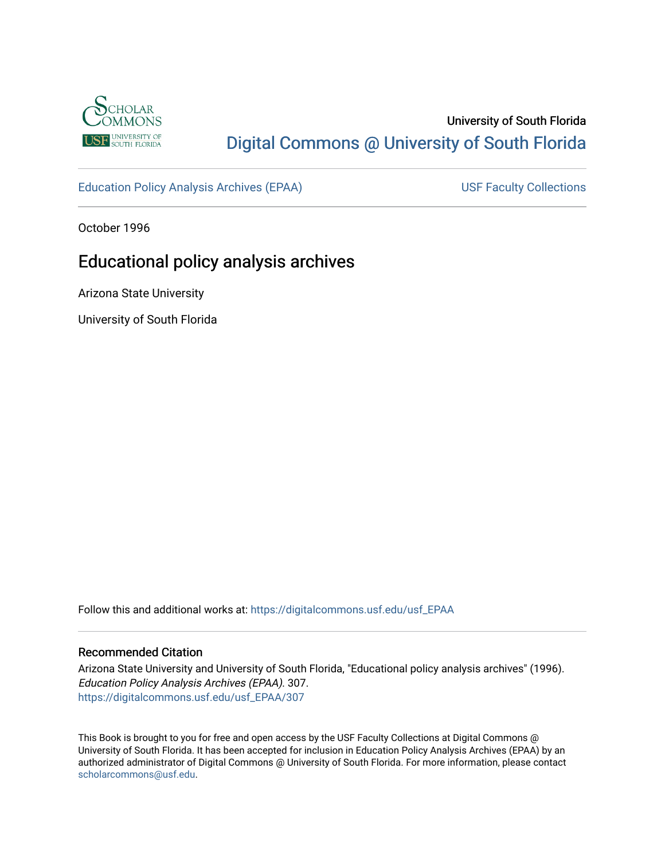

## University of South Florida [Digital Commons @ University of South Florida](https://digitalcommons.usf.edu/)

[Education Policy Analysis Archives \(EPAA\)](https://digitalcommons.usf.edu/usf_EPAA) USF Faculty Collections

October 1996

# Educational policy analysis archives

Arizona State University

University of South Florida

Follow this and additional works at: [https://digitalcommons.usf.edu/usf\\_EPAA](https://digitalcommons.usf.edu/usf_EPAA?utm_source=digitalcommons.usf.edu%2Fusf_EPAA%2F307&utm_medium=PDF&utm_campaign=PDFCoverPages)

#### Recommended Citation

Arizona State University and University of South Florida, "Educational policy analysis archives" (1996). Education Policy Analysis Archives (EPAA). 307. [https://digitalcommons.usf.edu/usf\\_EPAA/307](https://digitalcommons.usf.edu/usf_EPAA/307?utm_source=digitalcommons.usf.edu%2Fusf_EPAA%2F307&utm_medium=PDF&utm_campaign=PDFCoverPages)

This Book is brought to you for free and open access by the USF Faculty Collections at Digital Commons @ University of South Florida. It has been accepted for inclusion in Education Policy Analysis Archives (EPAA) by an authorized administrator of Digital Commons @ University of South Florida. For more information, please contact [scholarcommons@usf.edu.](mailto:scholarcommons@usf.edu)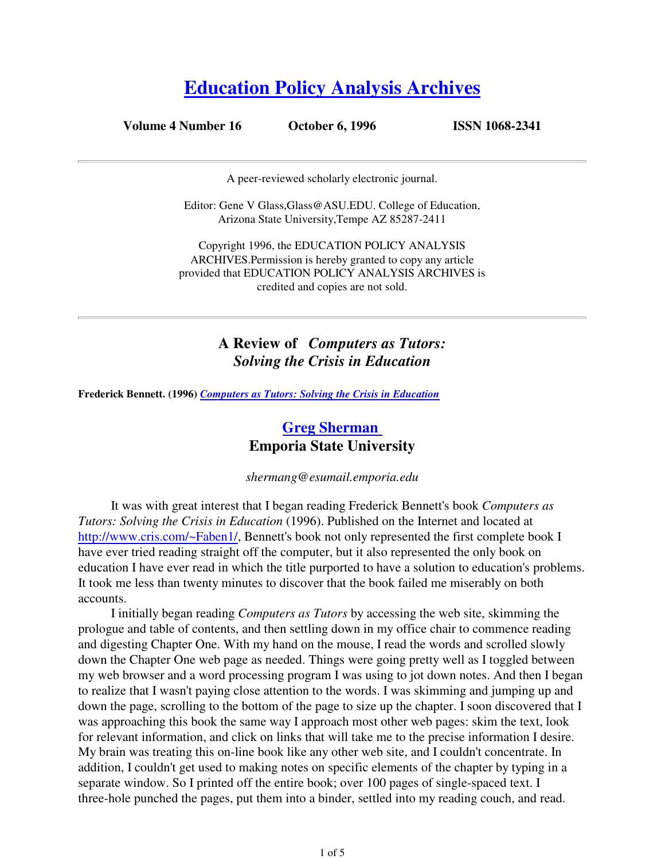# **Education Policy Analysis Archives**

**Volume 4 Number 16 October 6, 1996 ISSN 1068-2341**

A peer-reviewed scholarly electronic journal.

Editor: Gene V Glass,Glass@ASU.EDU. College of Education, Arizona State University,Tempe AZ 85287-2411

Copyright 1996, the EDUCATION POLICY ANALYSIS ARCHIVES.Permission is hereby granted to copy any article provided that EDUCATION POLICY ANALYSIS ARCHIVES is credited and copies are not sold.

## **A Review of** *Computers as Tutors: Solving the Crisis in Education*

**Frederick Bennett. (1996)** *Computers as Tutors: Solving the Crisis in Education*

## **Greg Sherman Emporia State University**

*shermang@esumail.emporia.edu*

It was with great interest that I began reading Frederick Bennett's book *Computers as Tutors: Solving the Crisis in Education* (1996). Published on the Internet and located at http://www.cris.com/~Faben1/, Bennett's book not only represented the first complete book I have ever tried reading straight off the computer, but it also represented the only book on education I have ever read in which the title purported to have a solution to education's problems. It took me less than twenty minutes to discover that the book failed me miserably on both accounts.

I initially began reading *Computers as Tutors* by accessing the web site, skimming the prologue and table of contents, and then settling down in my office chair to commence reading and digesting Chapter One. With my hand on the mouse, I read the words and scrolled slowly down the Chapter One web page as needed. Things were going pretty well as I toggled between my web browser and a word processing program I was using to jot down notes. And then I began to realize that I wasn't paying close attention to the words. I was skimming and jumping up and down the page, scrolling to the bottom of the page to size up the chapter. I soon discovered that I was approaching this book the same way I approach most other web pages: skim the text, look for relevant information, and click on links that will take me to the precise information I desire. My brain was treating this on-line book like any other web site, and I couldn't concentrate. In addition, I couldn't get used to making notes on specific elements of the chapter by typing in a separate window. So I printed off the entire book; over 100 pages of single-spaced text. I three-hole punched the pages, put them into a binder, settled into my reading couch, and read.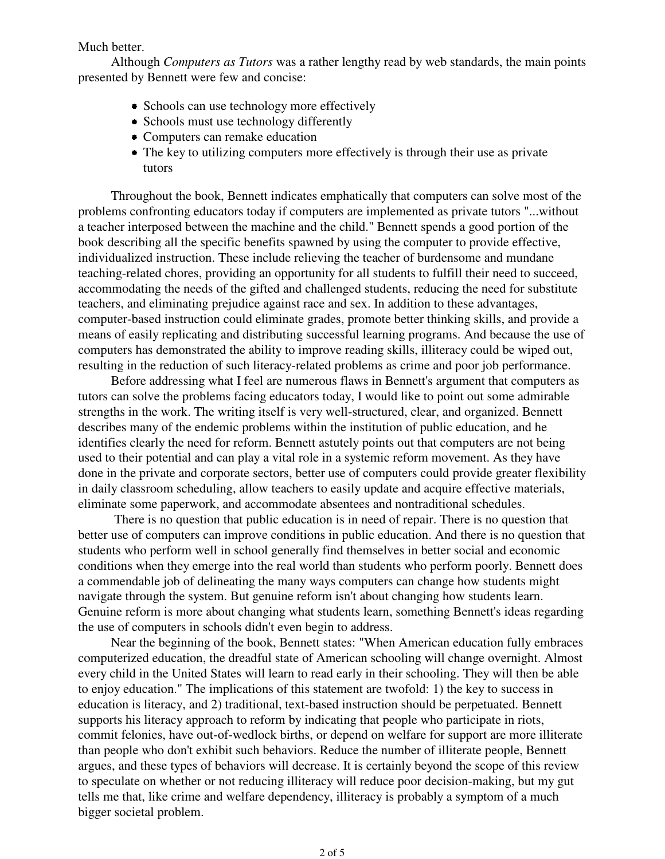#### Much better.

Although *Computers as Tutors* was a rather lengthy read by web standards, the main points presented by Bennett were few and concise:

- Schools can use technology more effectively
- Schools must use technology differently
- Computers can remake education
- The key to utilizing computers more effectively is through their use as private tutors

Throughout the book, Bennett indicates emphatically that computers can solve most of the problems confronting educators today if computers are implemented as private tutors "...without a teacher interposed between the machine and the child." Bennett spends a good portion of the book describing all the specific benefits spawned by using the computer to provide effective, individualized instruction. These include relieving the teacher of burdensome and mundane teaching-related chores, providing an opportunity for all students to fulfill their need to succeed, accommodating the needs of the gifted and challenged students, reducing the need for substitute teachers, and eliminating prejudice against race and sex. In addition to these advantages, computer-based instruction could eliminate grades, promote better thinking skills, and provide a means of easily replicating and distributing successful learning programs. And because the use of computers has demonstrated the ability to improve reading skills, illiteracy could be wiped out, resulting in the reduction of such literacy-related problems as crime and poor job performance.

Before addressing what I feel are numerous flaws in Bennett's argument that computers as tutors can solve the problems facing educators today, I would like to point out some admirable strengths in the work. The writing itself is very well-structured, clear, and organized. Bennett describes many of the endemic problems within the institution of public education, and he identifies clearly the need for reform. Bennett astutely points out that computers are not being used to their potential and can play a vital role in a systemic reform movement. As they have done in the private and corporate sectors, better use of computers could provide greater flexibility in daily classroom scheduling, allow teachers to easily update and acquire effective materials, eliminate some paperwork, and accommodate absentees and nontraditional schedules.

 There is no question that public education is in need of repair. There is no question that better use of computers can improve conditions in public education. And there is no question that students who perform well in school generally find themselves in better social and economic conditions when they emerge into the real world than students who perform poorly. Bennett does a commendable job of delineating the many ways computers can change how students might navigate through the system. But genuine reform isn't about changing how students learn. Genuine reform is more about changing what students learn, something Bennett's ideas regarding the use of computers in schools didn't even begin to address.

Near the beginning of the book, Bennett states: "When American education fully embraces computerized education, the dreadful state of American schooling will change overnight. Almost every child in the United States will learn to read early in their schooling. They will then be able to enjoy education." The implications of this statement are twofold: 1) the key to success in education is literacy, and 2) traditional, text-based instruction should be perpetuated. Bennett supports his literacy approach to reform by indicating that people who participate in riots, commit felonies, have out-of-wedlock births, or depend on welfare for support are more illiterate than people who don't exhibit such behaviors. Reduce the number of illiterate people, Bennett argues, and these types of behaviors will decrease. It is certainly beyond the scope of this review to speculate on whether or not reducing illiteracy will reduce poor decision-making, but my gut tells me that, like crime and welfare dependency, illiteracy is probably a symptom of a much bigger societal problem.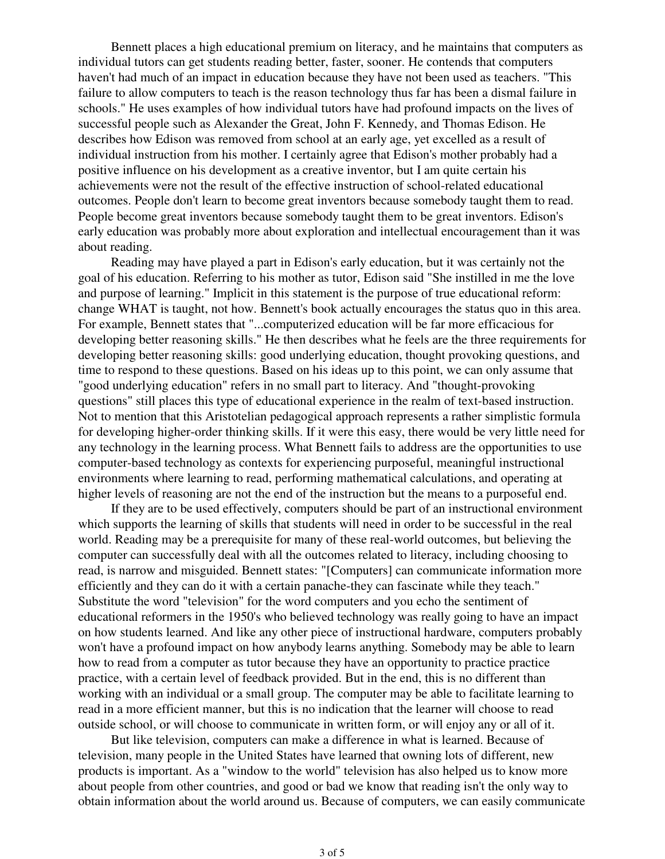Bennett places a high educational premium on literacy, and he maintains that computers as individual tutors can get students reading better, faster, sooner. He contends that computers haven't had much of an impact in education because they have not been used as teachers. "This failure to allow computers to teach is the reason technology thus far has been a dismal failure in schools." He uses examples of how individual tutors have had profound impacts on the lives of successful people such as Alexander the Great, John F. Kennedy, and Thomas Edison. He describes how Edison was removed from school at an early age, yet excelled as a result of individual instruction from his mother. I certainly agree that Edison's mother probably had a positive influence on his development as a creative inventor, but I am quite certain his achievements were not the result of the effective instruction of school-related educational outcomes. People don't learn to become great inventors because somebody taught them to read. People become great inventors because somebody taught them to be great inventors. Edison's early education was probably more about exploration and intellectual encouragement than it was about reading.

Reading may have played a part in Edison's early education, but it was certainly not the goal of his education. Referring to his mother as tutor, Edison said "She instilled in me the love and purpose of learning." Implicit in this statement is the purpose of true educational reform: change WHAT is taught, not how. Bennett's book actually encourages the status quo in this area. For example, Bennett states that "...computerized education will be far more efficacious for developing better reasoning skills." He then describes what he feels are the three requirements for developing better reasoning skills: good underlying education, thought provoking questions, and time to respond to these questions. Based on his ideas up to this point, we can only assume that "good underlying education" refers in no small part to literacy. And "thought-provoking questions" still places this type of educational experience in the realm of text-based instruction. Not to mention that this Aristotelian pedagogical approach represents a rather simplistic formula for developing higher-order thinking skills. If it were this easy, there would be very little need for any technology in the learning process. What Bennett fails to address are the opportunities to use computer-based technology as contexts for experiencing purposeful, meaningful instructional environments where learning to read, performing mathematical calculations, and operating at higher levels of reasoning are not the end of the instruction but the means to a purposeful end.

If they are to be used effectively, computers should be part of an instructional environment which supports the learning of skills that students will need in order to be successful in the real world. Reading may be a prerequisite for many of these real-world outcomes, but believing the computer can successfully deal with all the outcomes related to literacy, including choosing to read, is narrow and misguided. Bennett states: "[Computers] can communicate information more efficiently and they can do it with a certain panache-they can fascinate while they teach." Substitute the word "television" for the word computers and you echo the sentiment of educational reformers in the 1950's who believed technology was really going to have an impact on how students learned. And like any other piece of instructional hardware, computers probably won't have a profound impact on how anybody learns anything. Somebody may be able to learn how to read from a computer as tutor because they have an opportunity to practice practice practice, with a certain level of feedback provided. But in the end, this is no different than working with an individual or a small group. The computer may be able to facilitate learning to read in a more efficient manner, but this is no indication that the learner will choose to read outside school, or will choose to communicate in written form, or will enjoy any or all of it.

But like television, computers can make a difference in what is learned. Because of television, many people in the United States have learned that owning lots of different, new products is important. As a "window to the world" television has also helped us to know more about people from other countries, and good or bad we know that reading isn't the only way to obtain information about the world around us. Because of computers, we can easily communicate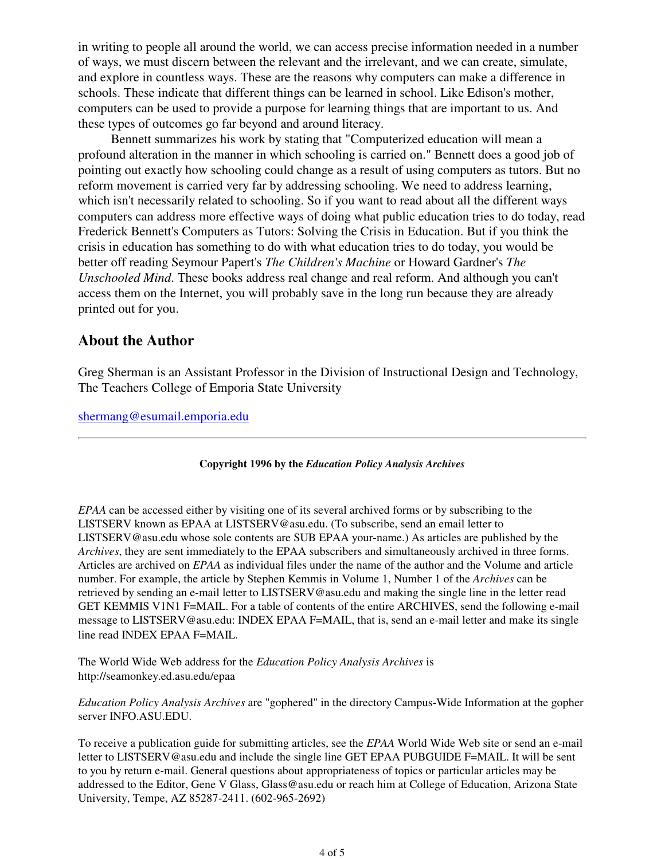in writing to people all around the world, we can access precise information needed in a number of ways, we must discern between the relevant and the irrelevant, and we can create, simulate, and explore in countless ways. These are the reasons why computers can make a difference in schools. These indicate that different things can be learned in school. Like Edison's mother, computers can be used to provide a purpose for learning things that are important to us. And these types of outcomes go far beyond and around literacy.

Bennett summarizes his work by stating that "Computerized education will mean a profound alteration in the manner in which schooling is carried on." Bennett does a good job of pointing out exactly how schooling could change as a result of using computers as tutors. But no reform movement is carried very far by addressing schooling. We need to address learning, which isn't necessarily related to schooling. So if you want to read about all the different ways computers can address more effective ways of doing what public education tries to do today, read Frederick Bennett's Computers as Tutors: Solving the Crisis in Education. But if you think the crisis in education has something to do with what education tries to do today, you would be better off reading Seymour Papert's *The Children's Machine* or Howard Gardner's *The Unschooled Mind*. These books address real change and real reform. And although you can't access them on the Internet, you will probably save in the long run because they are already printed out for you.

## **About the Author**

Greg Sherman is an Assistant Professor in the Division of Instructional Design and Technology, The Teachers College of Emporia State University

shermang@esumail.emporia.edu

#### **Copyright 1996 by the** *Education Policy Analysis Archives*

*EPAA* can be accessed either by visiting one of its several archived forms or by subscribing to the LISTSERV known as EPAA at LISTSERV@asu.edu. (To subscribe, send an email letter to LISTSERV@asu.edu whose sole contents are SUB EPAA your-name.) As articles are published by the *Archives*, they are sent immediately to the EPAA subscribers and simultaneously archived in three forms. Articles are archived on *EPAA* as individual files under the name of the author and the Volume and article number. For example, the article by Stephen Kemmis in Volume 1, Number 1 of the *Archives* can be retrieved by sending an e-mail letter to LISTSERV@asu.edu and making the single line in the letter read GET KEMMIS V1N1 F=MAIL. For a table of contents of the entire ARCHIVES, send the following e-mail message to LISTSERV@asu.edu: INDEX EPAA F=MAIL, that is, send an e-mail letter and make its single line read INDEX EPAA F=MAIL.

The World Wide Web address for the *Education Policy Analysis Archives* is http://seamonkey.ed.asu.edu/epaa

*Education Policy Analysis Archives* are "gophered" in the directory Campus-Wide Information at the gopher server INFO.ASU.EDU.

To receive a publication guide for submitting articles, see the *EPAA* World Wide Web site or send an e-mail letter to LISTSERV@asu.edu and include the single line GET EPAA PUBGUIDE F=MAIL. It will be sent to you by return e-mail. General questions about appropriateness of topics or particular articles may be addressed to the Editor, Gene V Glass, Glass@asu.edu or reach him at College of Education, Arizona State University, Tempe, AZ 85287-2411. (602-965-2692)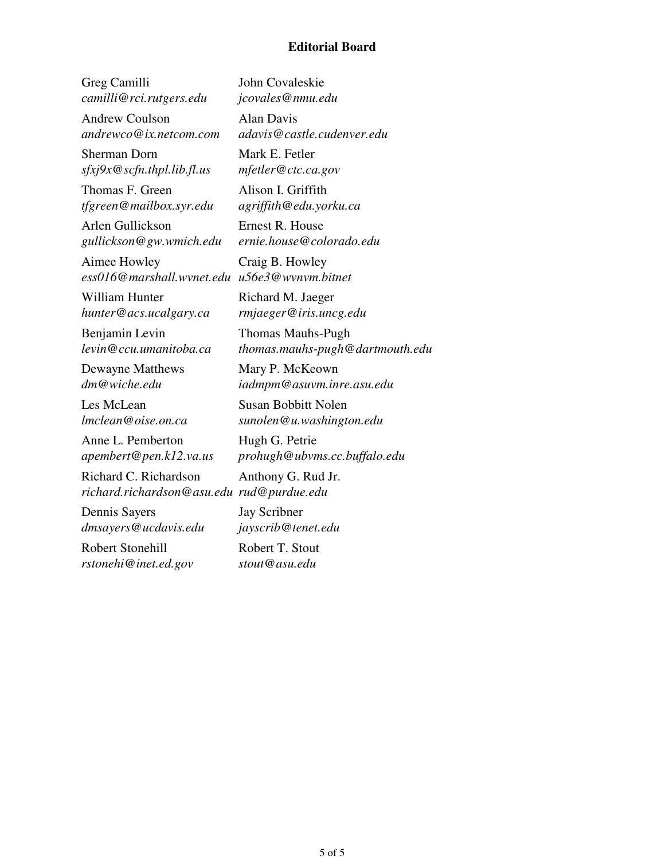#### **Editorial Board**

Greg Camilli *camilli@rci.rutgers.edu*

Andrew Coulson *andrewco@ix.netcom.com*

Sherman Dorn *sfxj9x@scfn.thpl.lib.fl.us*

Thomas F. Green *tfgreen@mailbox.syr.edu*

Arlen Gullickson *gullickson@gw.wmich.edu*

Aimee Howley *ess016@marshall.wvnet.edu u56e3@wvnvm.bitnet*

William Hunter *hunter@acs.ucalgary.ca*

Benjamin Levin *levin@ccu.umanitoba.ca*

Dewayne Matthews *dm@wiche.edu*

Les McLean *lmclean@oise.on.ca*

Anne L. Pemberton *apembert@pen.k12.va.us*

Richard C. Richardson *richard.richardson@asu.edu rud@purdue.edu*

Dennis Sayers *dmsayers@ucdavis.edu*

Robert Stonehill *rstonehi@inet.ed.gov*

John Covaleskie *jcovales@nmu.edu*

Alan Davis *adavis@castle.cudenver.edu*

Mark E. Fetler *mfetler@ctc.ca.gov*

Alison I. Griffith *agriffith@edu.yorku.ca*

Ernest R. House *ernie.house@colorado.edu*

Craig B. Howley

Richard M. Jaeger *rmjaeger@iris.uncg.edu*

Thomas Mauhs-Pugh *thomas.mauhs-pugh@dartmouth.edu*

Mary P. McKeown *iadmpm@asuvm.inre.asu.edu*

Susan Bobbitt Nolen *sunolen@u.washington.edu*

Hugh G. Petrie *prohugh@ubvms.cc.buffalo.edu*

Anthony G. Rud Jr.

Jay Scribner *jayscrib@tenet.edu*

Robert T. Stout *stout@asu.edu*